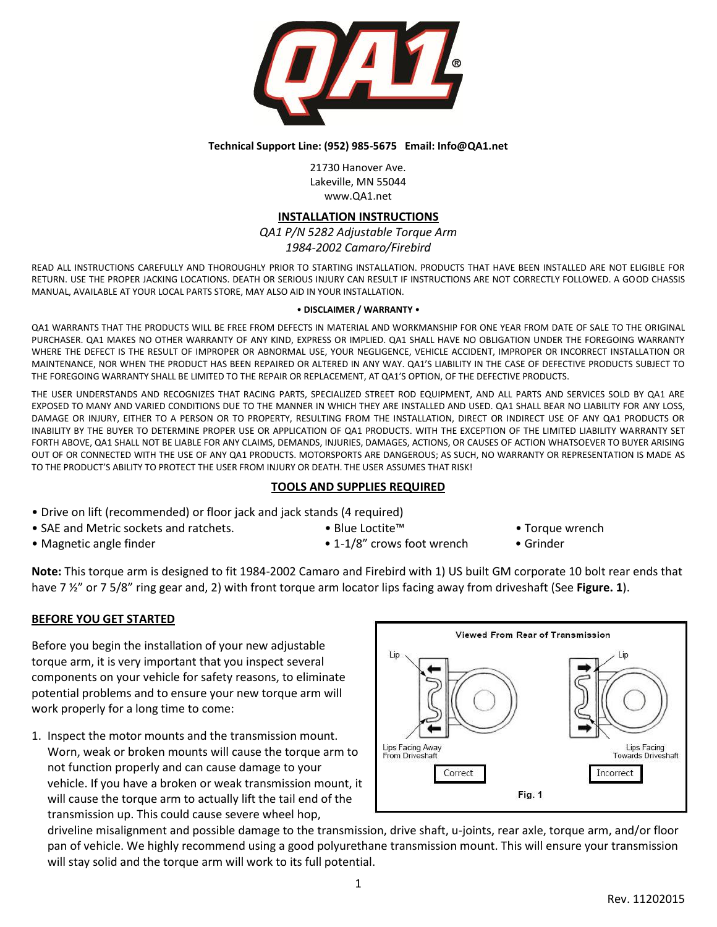

#### **Technical Support Line: (952) 985-5675 Email: Info@QA1.net**

21730 Hanover Ave. Lakeville, MN 55044 www.QA1.net

## **INSTALLATION INSTRUCTIONS**

*QA1 P/N 5282 Adjustable Torque Arm 1984-2002 Camaro/Firebird*

READ ALL INSTRUCTIONS CAREFULLY AND THOROUGHLY PRIOR TO STARTING INSTALLATION. PRODUCTS THAT HAVE BEEN INSTALLED ARE NOT ELIGIBLE FOR RETURN. USE THE PROPER JACKING LOCATIONS. DEATH OR SERIOUS INJURY CAN RESULT IF INSTRUCTIONS ARE NOT CORRECTLY FOLLOWED. A GOOD CHASSIS MANUAL, AVAILABLE AT YOUR LOCAL PARTS STORE, MAY ALSO AID IN YOUR INSTALLATION.

#### • **DISCLAIMER / WARRANTY** •

QA1 WARRANTS THAT THE PRODUCTS WILL BE FREE FROM DEFECTS IN MATERIAL AND WORKMANSHIP FOR ONE YEAR FROM DATE OF SALE TO THE ORIGINAL PURCHASER. QA1 MAKES NO OTHER WARRANTY OF ANY KIND, EXPRESS OR IMPLIED. QA1 SHALL HAVE NO OBLIGATION UNDER THE FOREGOING WARRANTY WHERE THE DEFECT IS THE RESULT OF IMPROPER OR ABNORMAL USE, YOUR NEGLIGENCE, VEHICLE ACCIDENT, IMPROPER OR INCORRECT INSTALLATION OR MAINTENANCE, NOR WHEN THE PRODUCT HAS BEEN REPAIRED OR ALTERED IN ANY WAY. QA1'S LIABILITY IN THE CASE OF DEFECTIVE PRODUCTS SUBJECT TO THE FOREGOING WARRANTY SHALL BE LIMITED TO THE REPAIR OR REPLACEMENT, AT QA1'S OPTION, OF THE DEFECTIVE PRODUCTS.

THE USER UNDERSTANDS AND RECOGNIZES THAT RACING PARTS, SPECIALIZED STREET ROD EQUIPMENT, AND ALL PARTS AND SERVICES SOLD BY QA1 ARE EXPOSED TO MANY AND VARIED CONDITIONS DUE TO THE MANNER IN WHICH THEY ARE INSTALLED AND USED. QA1 SHALL BEAR NO LIABILITY FOR ANY LOSS, DAMAGE OR INJURY, EITHER TO A PERSON OR TO PROPERTY, RESULTING FROM THE INSTALLATION, DIRECT OR INDIRECT USE OF ANY QA1 PRODUCTS OR INABILITY BY THE BUYER TO DETERMINE PROPER USE OR APPLICATION OF QA1 PRODUCTS. WITH THE EXCEPTION OF THE LIMITED LIABILITY WARRANTY SET FORTH ABOVE, QA1 SHALL NOT BE LIABLE FOR ANY CLAIMS, DEMANDS, INJURIES, DAMAGES, ACTIONS, OR CAUSES OF ACTION WHATSOEVER TO BUYER ARISING OUT OF OR CONNECTED WITH THE USE OF ANY QA1 PRODUCTS. MOTORSPORTS ARE DANGEROUS; AS SUCH, NO WARRANTY OR REPRESENTATION IS MADE AS TO THE PRODUCT'S ABILITY TO PROTECT THE USER FROM INJURY OR DEATH. THE USER ASSUMES THAT RISK!

### **TOOLS AND SUPPLIES REQUIRED**

- Drive on lift (recommended) or floor jack and jack stands (4 required)
- SAE and Metric sockets and ratchets. Blue Loctite™ Torque wrench
- 

- 
- Magnetic angle finder 1-1/8" crows foot wrench Grinder
- 

**Note:** This torque arm is designed to fit 1984-2002 Camaro and Firebird with 1) US built GM corporate 10 bolt rear ends that have 7 ½" or 7 5/8" ring gear and, 2) with front torque arm locator lips facing away from driveshaft (See **Figure. 1**).

### **BEFORE YOU GET STARTED**

Before you begin the installation of your new adjustable torque arm, it is very important that you inspect several components on your vehicle for safety reasons, to eliminate potential problems and to ensure your new torque arm will work properly for a long time to come:

1. Inspect the motor mounts and the transmission mount. Worn, weak or broken mounts will cause the torque arm to not function properly and can cause damage to your vehicle. If you have a broken or weak transmission mount, it will cause the torque arm to actually lift the tail end of the transmission up. This could cause severe wheel hop,



driveline misalignment and possible damage to the transmission, drive shaft, u-joints, rear axle, torque arm, and/or floor pan of vehicle. We highly recommend using a good polyurethane transmission mount. This will ensure your transmission will stay solid and the torque arm will work to its full potential.